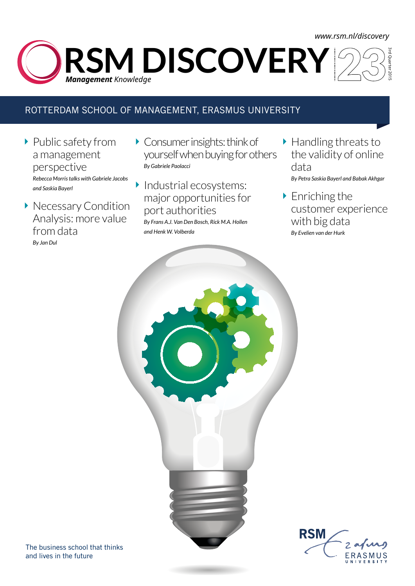### *<www.rsm.nl/discovery>*

3rd Quarter 2015 **RSM DISCOVERY** *Management Knowledge* 

### ROTTERDAM SCHOOL OF MANAGEMENT, ERASMUS UNIVERSITY

- ▶ Public safety from a management perspective *Rebecca Morris talks with Gabriele Jacobs and Saskia Bayerl*
- **Necessary Condition** Analysis: more value from data *By Jan Dul*
- Consumer insights: think of yourself when buying for others *By Gabriele Paolacci*
- Industrial ecosystems:  $\blacktriangleright$ major opportunities for port authorities

*By Frans A.J. Van Den Bosch, Rick M.A. Hollen and Henk W. Volberda*

- ▶ Handling threats to the validity of online data *By Petra Saskia Bayerl and Babak Akhgar*
- ▶ Enriching the customer experience with big data *By Evelien van der Hurk*



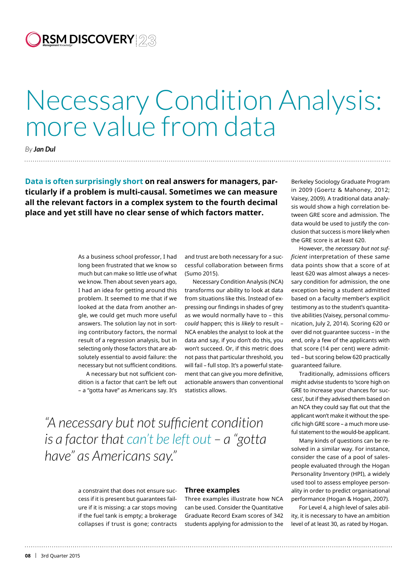**RSM DISCOVERY** *Management Knowledge*

# Necessary Condition Analysis: more value from data

*By Jan Dul*

**Data is often surprisingly short on real answers for managers, particularly if a problem is multi-causal. Sometimes we can measure all the relevant factors in a complex system to the fourth decimal place and yet still have no clear sense of which factors matter.** 

> As a business school professor, I had long been frustrated that we know so much but can make so little use of what we know. Then about seven years ago, I had an idea for getting around this problem. It seemed to me that if we looked at the data from another angle, we could get much more useful answers. The solution lay not in sorting contributory factors, the normal result of a regression analysis, but in selecting only those factors that are absolutely essential to avoid failure: the necessary but not sufficient conditions.

A necessary but not sufficient condition is a factor that can't be left out – a "gotta have" as Americans say. It's and trust are both necessary for a successful collaboration between firms (Sumo 2015).

Necessary Condition Analysis (NCA) transforms our ability to look at data from situations like this. Instead of expressing our findings in shades of grey as we would normally have to – this *could* happen; this is *likely* to result – NCA enables the analyst to look at the data and say, if you don't do this, you won't succeed. Or, if this metric does not pass that particular threshold, you will fail – full stop. It's a powerful statement that can give you more definitive, actionable answers than conventional statistics allows.

*"A necessary but not sufficient condition is a factor that can't be left out – a "gotta have" as Americans say."*

> a constraint that does not ensure success if it is present but guarantees failure if it is missing: a car stops moving if the fuel tank is empty; a brokerage collapses if trust is gone; contracts

### **Three examples**

Three examples illustrate how NCA can be used. Consider the Quantitative Graduate Record Exam scores of 342 students applying for admission to the

Berkeley Sociology Graduate Program in 2009 (Goertz & Mahoney, 2012; Vaisey, 2009). A traditional data analysis would show a high correlation between GRE score and admission. The data would be used to justify the conclusion that success is more likely when the GRE score is at least 620.

However, the *necessary but not sufficient* interpretation of these same data points show that a score of at least 620 was almost always a necessary condition for admission, the one exception being a student admitted based on a faculty member's explicit testimony as to the student's quantitative abilities (Vaisey, personal communication, July 2, 2014). Scoring 620 or over did not guarantee success – in the end, only a few of the applicants with that score (14 per cent) were admitted – but scoring below 620 practically guaranteed failure.

Traditionally, admissions officers might advise students to 'score high on GRE to increase your chances for success', but if they advised them based on an NCA they could say flat out that the applicant won't make it without the specific high GRE score – a much more useful statement to the would-be applicant.

Many kinds of questions can be resolved in a similar way. For instance, consider the case of a pool of salespeople evaluated through the Hogan Personality Inventory (HPI), a widely used tool to assess employee personality in order to predict organisational performance (Hogan & Hogan, 2007).

For Level 4, a high level of sales ability, it is necessary to have an ambition level of at least 30, as rated by Hogan.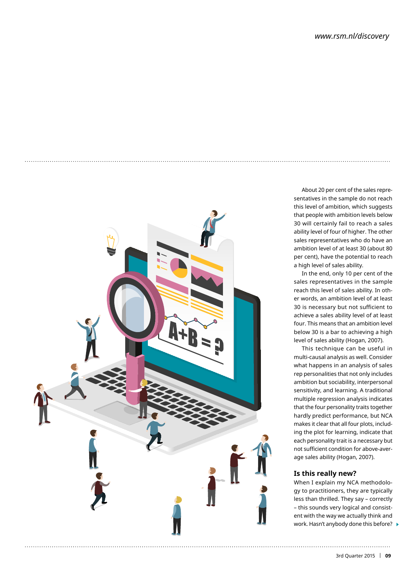

About 20 per cent of the sales representatives in the sample do not reach this level of ambition, which suggests that people with ambition levels below 30 will certainly fail to reach a sales ability level of four of higher. The other sales representatives who do have an ambition level of at least 30 (about 80 per cent), have the potential to reach a high level of sales ability.

In the end, only 10 per cent of the sales representatives in the sample reach this level of sales ability. In other words, an ambition level of at least 30 is necessary but not sufficient to achieve a sales ability level of at least four. This means that an ambition level below 30 is a bar to achieving a high level of sales ability (Hogan, 2007).

This technique can be useful in multi-causal analysis as well. Consider what happens in an analysis of sales rep personalities that not only includes ambition but sociability, interpersonal sensitivity, and learning. A traditional multiple regression analysis indicates that the four personality traits together hardly predict performance, but NCA makes it clear that all four plots, including the plot for learning, indicate that each personality trait is a necessary but not sufficient condition for above-average sales ability (Hogan, 2007).

### **Is this really new?**

When I explain my NCA methodology to practitioners, they are typically less than thrilled. They say – correctly – this sounds very logical and consistent with the way we actually think and work. Hasn't anybody done this before?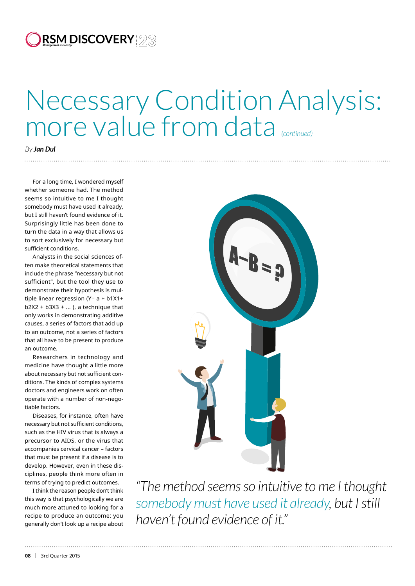## **RSM DISCOVERY** *Management Knowledge*

# more value from data *(continued)*

### *By Jan Dul*

For a long time, I wondered myself whether someone had. The method seems so intuitive to me I thought somebody must have used it already, but I still haven't found evidence of it. Surprisingly little has been done to turn the data in a way that allows us to sort exclusively for necessary but sufficient conditions.

Analysts in the social sciences often make theoretical statements that include the phrase "necessary but not sufficient", but the tool they use to demonstrate their hypothesis is multiple linear regression (Y= a + b1X1+  $b2X2 + b3X3 + ...$ ), a technique that only works in demonstrating additive causes, a series of factors that add up to an outcome, not a series of factors that all have to be present to produce an outcome.

Researchers in technology and medicine have thought a little more about necessary but not sufficient conditions. The kinds of complex systems doctors and engineers work on often operate with a number of non-negotiable factors.

Diseases, for instance, often have necessary but not sufficient conditions, such as the HIV virus that is always a precursor to AIDS, or the virus that accompanies cervical cancer – factors that must be present if a disease is to develop. However, even in these disciplines, people think more often in terms of trying to predict outcomes.

I think the reason people don't think this way is that psychologically we are much more attuned to looking for a recipe to produce an outcome: you generally don't look up a recipe about



*"The method seems so intuitive to me I thought somebody must have used it already, but I still haven't found evidence of it."*